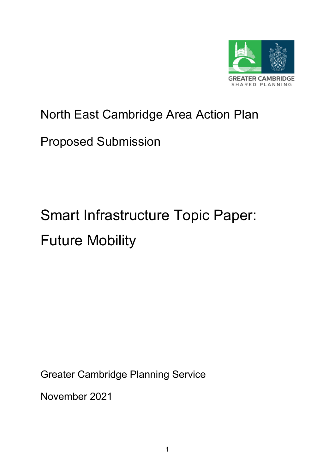

# North East Cambridge Area Action Plan

# Proposed Submission

# Smart Infrastructure Topic Paper: Future Mobility

Greater Cambridge Planning Service

November 2021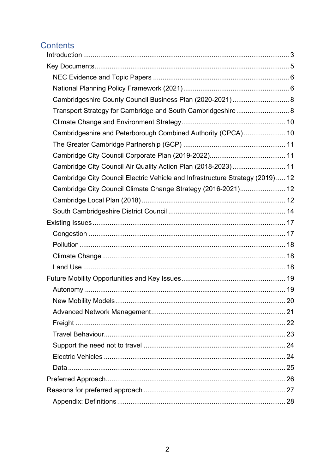# Contents

| Cambridgeshire County Council Business Plan (2020-2021) 8                     |  |
|-------------------------------------------------------------------------------|--|
| Transport Strategy for Cambridge and South Cambridgeshire 8                   |  |
|                                                                               |  |
| Cambridgeshire and Peterborough Combined Authority (CPCA) 10                  |  |
|                                                                               |  |
|                                                                               |  |
| Cambridge City Council Air Quality Action Plan (2018-2023) 11                 |  |
| Cambridge City Council Electric Vehicle and Infrastructure Strategy (2019) 12 |  |
| Cambridge City Council Climate Change Strategy (2016-2021) 12                 |  |
|                                                                               |  |
|                                                                               |  |
|                                                                               |  |
|                                                                               |  |
|                                                                               |  |
|                                                                               |  |
|                                                                               |  |
|                                                                               |  |
|                                                                               |  |
|                                                                               |  |
|                                                                               |  |
|                                                                               |  |
|                                                                               |  |
|                                                                               |  |
|                                                                               |  |
|                                                                               |  |
|                                                                               |  |
|                                                                               |  |
|                                                                               |  |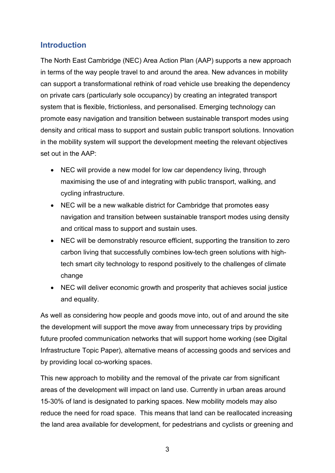# <span id="page-2-0"></span>**Introduction**

The North East Cambridge (NEC) Area Action Plan (AAP) supports a new approach in terms of the way people travel to and around the area. New advances in mobility can support a transformational rethink of road vehicle use breaking the dependency on private cars (particularly sole occupancy) by creating an integrated transport system that is flexible, frictionless, and personalised. Emerging technology can promote easy navigation and transition between sustainable transport modes using density and critical mass to support and sustain public transport solutions. Innovation in the mobility system will support the development meeting the relevant objectives set out in the AAP:

- NEC will provide a new model for low car dependency living, through maximising the use of and integrating with public transport, walking, and cycling infrastructure.
- NEC will be a new walkable district for Cambridge that promotes easy navigation and transition between sustainable transport modes using density and critical mass to support and sustain uses.
- NEC will be demonstrably resource efficient, supporting the transition to zero carbon living that successfully combines low-tech green solutions with hightech smart city technology to respond positively to the challenges of climate change
- NEC will deliver economic growth and prosperity that achieves social justice and equality.

As well as considering how people and goods move into, out of and around the site the development will support the move away from unnecessary trips by providing future proofed communication networks that will support home working (see Digital Infrastructure Topic Paper), alternative means of accessing goods and services and by providing local co-working spaces.

This new approach to mobility and the removal of the private car from significant areas of the development will impact on land use. Currently in urban areas around 15-30% of land is designated to parking spaces. New mobility models may also reduce the need for road space. This means that land can be reallocated increasing the land area available for development, for pedestrians and cyclists or greening and

3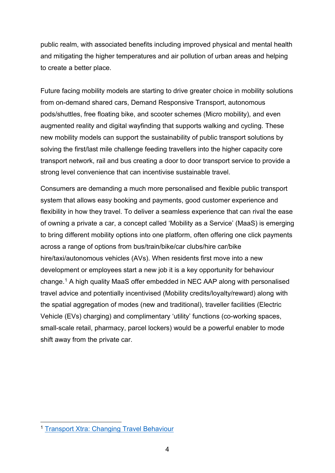public realm, with associated benefits including improved physical and mental health and mitigating the higher temperatures and air pollution of urban areas and helping to create a better place.

Future facing mobility models are starting to drive greater choice in mobility solutions from on-demand shared cars, Demand Responsive Transport, autonomous pods/shuttles, free floating bike, and scooter schemes (Micro mobility), and even augmented reality and digital wayfinding that supports walking and cycling. These new mobility models can support the sustainability of public transport solutions by solving the first/last mile challenge feeding travellers into the higher capacity core transport network, rail and bus creating a door to door transport service to provide a strong level convenience that can incentivise sustainable travel.

Consumers are demanding a much more personalised and flexible public transport system that allows easy booking and payments, good customer experience and flexibility in how they travel. To deliver a seamless experience that can rival the ease of owning a private a car, a concept called 'Mobility as a Service' (MaaS) is emerging to bring different mobility options into one platform, often offering one click payments across a range of options from bus/train/bike/car clubs/hire car/bike hire/taxi/autonomous vehicles (AVs). When residents first move into a new development or employees start a new job it is a key opportunity for behaviour change.[1](#page-3-0) A high quality MaaS offer embedded in NEC AAP along with personalised travel advice and potentially incentivised (Mobility credits/loyalty/reward) along with the spatial aggregation of modes (new and traditional), traveller facilities (Electric Vehicle (EVs) charging) and complimentary 'utility' functions (co-working spaces, small-scale retail, pharmacy, parcel lockers) would be a powerful enabler to mode shift away from the private car.

<span id="page-3-0"></span><sup>1</sup> [Transport Xtra: Changing Travel Behaviour](https://www.transportxtra.com/publications/local-transport-today/news/56894/changing-travel-behaviour/)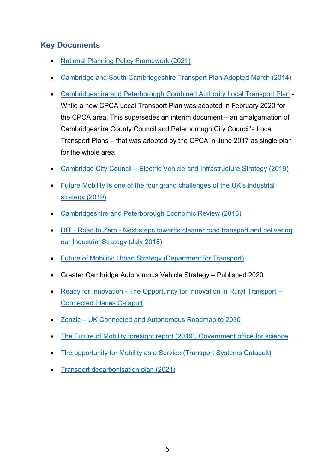# <span id="page-4-0"></span>**Key Documents**

- [National Planning Policy Framework \(2021\)](https://www.gov.uk/government/publications/national-planning-policy-framework--2)
- [Cambridge and South Cambridgeshire Transport Plan Adopted March \(2014\)](https://www.cambridgeshire.gov.uk/residents/travel-roads-and-parking/transport-plans-and-policies/cambridge-city-and-south-cambs-transport-strategy)
- [Cambridgeshire and Peterborough Combined Authority Local Transport Plan](https://cambridgeshirepeterborough-ca.gov.uk/assets/Transport/Draft-LTP.pdf) While a new CPCA Local Transport Plan was adopted in February 2020 for the CPCA area. This supersedes an interim document – an amalgamation of Cambridgeshire County Council and Peterborough City Council's Local Transport Plans – that was adopted by the CPCA in June 2017 as single plan for the whole area
- Cambridge City Council [Electric Vehicle and Infrastructure Strategy \(2019\)](https://www.cambridge.gov.uk/media/7988/electric-vehicle-and-infrastructure-strategy.pdf)
- [Future Mobility Is one of the four grand challenges of the UK's industrial](https://www.gov.uk/government/publications/industrial-strategy-the-grand-challenges/industrial-strategy-the-grand-challenges)  [strategy \(2019\)](https://www.gov.uk/government/publications/industrial-strategy-the-grand-challenges/industrial-strategy-the-grand-challenges)
- [Cambridgeshire and Peterborough Economic Review \(2018\)](https://www.cpier.org.uk/)
- DfT Road to Zero [Next steps towards cleaner road transport and delivering](https://assets.publishing.service.gov.uk/government/uploads/system/uploads/attachment_data/file/739460/road-to-zero.pdf)  [our Industrial Strategy \(July 2018\)](https://assets.publishing.service.gov.uk/government/uploads/system/uploads/attachment_data/file/739460/road-to-zero.pdf)
- [Future of Mobility: Urban Strategy \(Department for Transport\)](https://assets.publishing.service.gov.uk/government/uploads/system/uploads/attachment_data/file/846593/future-of-mobility-strategy.pdf)
- Greater Cambridge Autonomous Vehicle Strategy Published 2020
- Ready for Innovation [The Opportunity for Innovation in Rural Transport –](https://ts.catapult.org.uk/intelligent-mobility/im-resources/publications/) [Connected Places Catapult](https://ts.catapult.org.uk/intelligent-mobility/im-resources/publications/)
- Zenzic [UK Connected and Autonomous Roadmap to 2030](https://zenzic.io/roadmap/)
- [The Future of Mobility foresight report \(2019\), Government office for science](https://assets.publishing.service.gov.uk/government/uploads/system/uploads/attachment_data/file/780868/future_of_mobility_final.pdf)
- [The opportunity for Mobility as a Service \(Transport Systems Catapult\)](https://ts.catapult.org.uk/wp-content/uploads/2016/08/Mobility-as-a-Service_Exploring-the-Opportunity-for-MaaS-in-the-UK-Download.pdf)
- Transport decarbonisation plan (2021)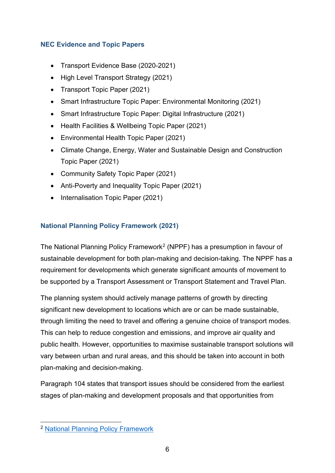#### <span id="page-5-0"></span>**NEC Evidence and Topic Papers**

- Transport Evidence Base (2020-2021)
- High Level Transport Strategy (2021)
- Transport Topic Paper (2021)
- Smart Infrastructure Topic Paper: Environmental Monitoring (2021)
- Smart Infrastructure Topic Paper: Digital Infrastructure (2021)
- Health Facilities & Wellbeing Topic Paper (2021)
- Environmental Health Topic Paper (2021)
- Climate Change, Energy, Water and Sustainable Design and Construction Topic Paper (2021)
- Community Safety Topic Paper (2021)
- Anti-Poverty and Inequality Topic Paper (2021)
- Internalisation Topic Paper (2021)

#### <span id="page-5-1"></span>**National Planning Policy Framework (2021)**

The National Planning Policy Framework<sup>[2](#page-5-2)</sup> (NPPF) has a presumption in favour of sustainable development for both plan-making and decision-taking. The NPPF has a requirement for developments which generate significant amounts of movement to be supported by a Transport Assessment or Transport Statement and Travel Plan.

The planning system should actively manage patterns of growth by directing significant new development to locations which are or can be made sustainable, through limiting the need to travel and offering a genuine choice of transport modes. This can help to reduce congestion and emissions, and improve air quality and public health. However, opportunities to maximise sustainable transport solutions will vary between urban and rural areas, and this should be taken into account in both plan-making and decision-making.

Paragraph 104 states that transport issues should be considered from the earliest stages of plan-making and development proposals and that opportunities from

<span id="page-5-2"></span><sup>2</sup> [National Planning Policy Framework](https://www.gov.uk/government/publications/national-planning-policy-framework--2)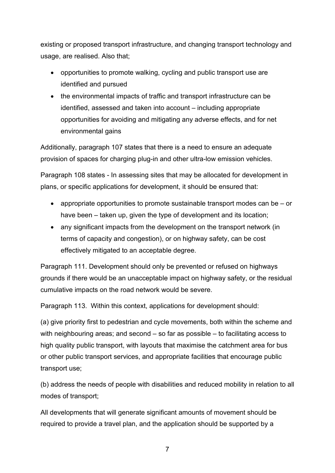existing or proposed transport infrastructure, and changing transport technology and usage, are realised. Also that;

- opportunities to promote walking, cycling and public transport use are identified and pursued
- the environmental impacts of traffic and transport infrastructure can be identified, assessed and taken into account – including appropriate opportunities for avoiding and mitigating any adverse effects, and for net environmental gains

Additionally, paragraph 107 states that there is a need to ensure an adequate provision of spaces for charging plug-in and other ultra-low emission vehicles.

Paragraph 108 states - In assessing sites that may be allocated for development in plans, or specific applications for development, it should be ensured that:

- appropriate opportunities to promote sustainable transport modes can be or have been – taken up, given the type of development and its location;
- any significant impacts from the development on the transport network (in terms of capacity and congestion), or on highway safety, can be cost effectively mitigated to an acceptable degree.

Paragraph 111. Development should only be prevented or refused on highways grounds if there would be an unacceptable impact on highway safety, or the residual cumulative impacts on the road network would be severe.

Paragraph 113. Within this context, applications for development should:

(a) give priority first to pedestrian and cycle movements, both within the scheme and with neighbouring areas; and second – so far as possible – to facilitating access to high quality public transport, with layouts that maximise the catchment area for bus or other public transport services, and appropriate facilities that encourage public transport use;

(b) address the needs of people with disabilities and reduced mobility in relation to all modes of transport;

All developments that will generate significant amounts of movement should be required to provide a travel plan, and the application should be supported by a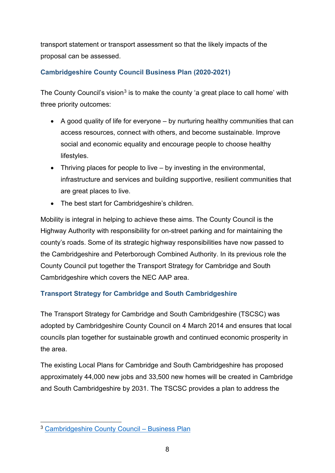transport statement or transport assessment so that the likely impacts of the proposal can be assessed.

#### <span id="page-7-0"></span>**Cambridgeshire County Council Business Plan (2020-2021)**

The County Council's vision<sup>[3](#page-7-2)</sup> is to make the county 'a great place to call home' with three priority outcomes:

- A good quality of life for everyone by nurturing healthy communities that can access resources, connect with others, and become sustainable. Improve social and economic equality and encourage people to choose healthy lifestyles.
- Thriving places for people to live by investing in the environmental, infrastructure and services and building supportive, resilient communities that are great places to live.
- The best start for Cambridgeshire's children.

Mobility is integral in helping to achieve these aims. The County Council is the Highway Authority with responsibility for on-street parking and for maintaining the county's roads. Some of its strategic highway responsibilities have now passed to the Cambridgeshire and Peterborough Combined Authority. In its previous role the County Council put together the Transport Strategy for Cambridge and South Cambridgeshire which covers the NEC AAP area.

# <span id="page-7-1"></span>**Transport Strategy for Cambridge and South Cambridgeshire**

The Transport Strategy for Cambridge and South Cambridgeshire (TSCSC) was adopted by Cambridgeshire County Council on 4 March 2014 and ensures that local councils plan together for sustainable growth and continued economic prosperity in the area.

The existing Local Plans for Cambridge and South Cambridgeshire has proposed approximately 44,000 new jobs and 33,500 new homes will be created in Cambridge and South Cambridgeshire by 2031. The TSCSC provides a plan to address the

<span id="page-7-2"></span><sup>3</sup> [Cambridgeshire County Council –](https://www.cambridgeshire.gov.uk/council/finance-and-budget/business-plans/business-plan-2020-to-2021) Business Plan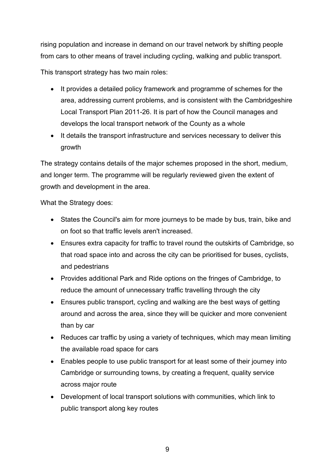rising population and increase in demand on our travel network by shifting people from cars to other means of travel including cycling, walking and public transport.

This transport strategy has two main roles:

- It provides a detailed policy framework and programme of schemes for the area, addressing current problems, and is consistent with the Cambridgeshire Local Transport Plan 2011-26. It is part of how the Council manages and develops the local transport network of the County as a whole
- It details the transport infrastructure and services necessary to deliver this growth

The strategy contains details of the major schemes proposed in the short, medium, and longer term. The programme will be regularly reviewed given the extent of growth and development in the area.

What the Strategy does:

- States the Council's aim for more journeys to be made by bus, train, bike and on foot so that traffic levels aren't increased.
- Ensures extra capacity for traffic to travel round the outskirts of Cambridge, so that road space into and across the city can be prioritised for buses, cyclists, and pedestrians
- Provides additional Park and Ride options on the fringes of Cambridge, to reduce the amount of unnecessary traffic travelling through the city
- Ensures public transport, cycling and walking are the best ways of getting around and across the area, since they will be quicker and more convenient than by car
- Reduces car traffic by using a variety of techniques, which may mean limiting the available road space for cars
- Enables people to use public transport for at least some of their journey into Cambridge or surrounding towns, by creating a frequent, quality service across major route
- Development of local transport solutions with communities, which link to public transport along key routes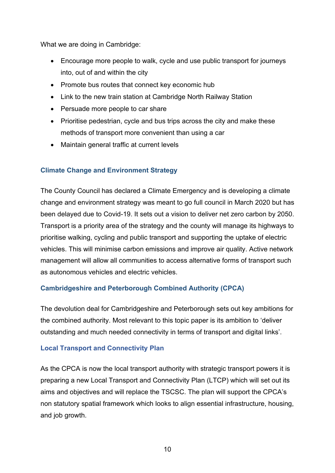What we are doing in Cambridge:

- Encourage more people to walk, cycle and use public transport for journeys into, out of and within the city
- Promote bus routes that connect key economic hub
- Link to the new train station at Cambridge North Railway Station
- Persuade more people to car share
- Prioritise pedestrian, cycle and bus trips across the city and make these methods of transport more convenient than using a car
- Maintain general traffic at current levels

#### <span id="page-9-0"></span>**Climate Change and Environment Strategy**

The County Council has declared a Climate Emergency and is developing a climate change and environment strategy was meant to go full council in March 2020 but has been delayed due to Covid-19. It sets out a vision to deliver net zero carbon by 2050. Transport is a priority area of the strategy and the county will manage its highways to prioritise walking, cycling and public transport and supporting the uptake of electric vehicles. This will minimise carbon emissions and improve air quality. Active network management will allow all communities to access alternative forms of transport such as autonomous vehicles and electric vehicles.

#### <span id="page-9-1"></span>**Cambridgeshire and Peterborough Combined Authority (CPCA)**

The devolution deal for Cambridgeshire and Peterborough sets out key ambitions for the combined authority. Most relevant to this topic paper is its ambition to 'deliver outstanding and much needed connectivity in terms of transport and digital links'.

#### **Local Transport and Connectivity Plan**

As the CPCA is now the local transport authority with strategic transport powers it is preparing a new Local Transport and Connectivity Plan (LTCP) which will set out its aims and objectives and will replace the TSCSC. The plan will support the CPCA's non statutory spatial framework which looks to align essential infrastructure, housing, and job growth.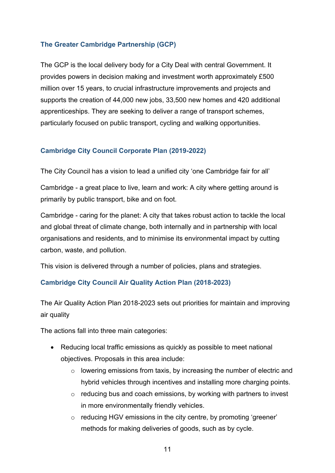#### <span id="page-10-0"></span>**The Greater Cambridge Partnership (GCP)**

The GCP is the local delivery body for a City Deal with central Government. It provides powers in decision making and investment worth approximately £500 million over 15 years, to crucial infrastructure improvements and projects and supports the creation of 44,000 new jobs, 33,500 new homes and 420 additional apprenticeships. They are seeking to deliver a range of transport schemes, particularly focused on public transport, cycling and walking opportunities.

#### <span id="page-10-1"></span>**Cambridge City Council Corporate Plan (2019-2022)**

The City Council has a vision to lead a unified city 'one Cambridge fair for all'

Cambridge - a great place to live, learn and work: A city where getting around is primarily by public transport, bike and on foot.

Cambridge - caring for the planet: A city that takes robust action to tackle the local and global threat of climate change, both internally and in partnership with local organisations and residents, and to minimise its environmental impact by cutting carbon, waste, and pollution.

This vision is delivered through a number of policies, plans and strategies.

#### <span id="page-10-2"></span>**Cambridge City Council Air Quality Action Plan (2018-2023)**

The Air Quality Action Plan 2018-2023 sets out priorities for maintain and improving air quality

The actions fall into three main categories:

- Reducing local traffic emissions as quickly as possible to meet national objectives. Proposals in this area include:
	- o lowering emissions from taxis, by increasing the number of electric and hybrid vehicles through incentives and installing more charging points.
	- $\circ$  reducing bus and coach emissions, by working with partners to invest in more environmentally friendly vehicles.
	- o reducing HGV emissions in the city centre, by promoting 'greener' methods for making deliveries of goods, such as by cycle.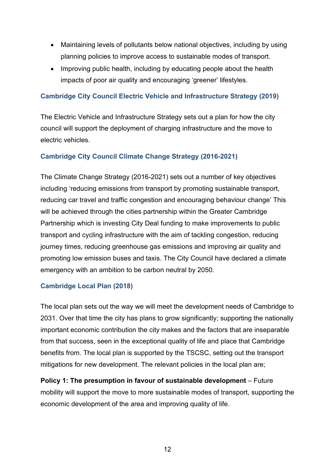- Maintaining levels of pollutants below national objectives, including by using planning policies to improve access to sustainable modes of transport.
- Improving public health, including by educating people about the health impacts of poor air quality and encouraging 'greener' lifestyles.

#### <span id="page-11-0"></span>**Cambridge City Council Electric Vehicle and Infrastructure Strategy (2019)**

The Electric Vehicle and Infrastructure Strategy sets out a plan for how the city council will support the deployment of charging infrastructure and the move to electric vehicles.

#### <span id="page-11-1"></span>**Cambridge City Council Climate Change Strategy (2016-2021)**

The Climate Change Strategy (2016-2021) sets out a number of key objectives including 'reducing emissions from transport by promoting sustainable transport, reducing car travel and traffic congestion and encouraging behaviour change' This will be achieved through the cities partnership within the Greater Cambridge Partnership which is investing City Deal funding to make improvements to public transport and cycling infrastructure with the aim of tackling congestion, reducing journey times, reducing greenhouse gas emissions and improving air quality and promoting low emission buses and taxis. The City Council have declared a climate emergency with an ambition to be carbon neutral by 2050.

#### <span id="page-11-2"></span>**Cambridge Local Plan (2018)**

The local plan sets out the way we will meet the development needs of Cambridge to 2031. Over that time the city has plans to grow significantly; supporting the nationally important economic contribution the city makes and the factors that are inseparable from that success, seen in the exceptional quality of life and place that Cambridge benefits from. The local plan is supported by the TSCSC, setting out the transport mitigations for new development. The relevant policies in the local plan are;

**Policy 1: The presumption in favour of sustainable development** – Future mobility will support the move to more sustainable modes of transport, supporting the economic development of the area and improving quality of life.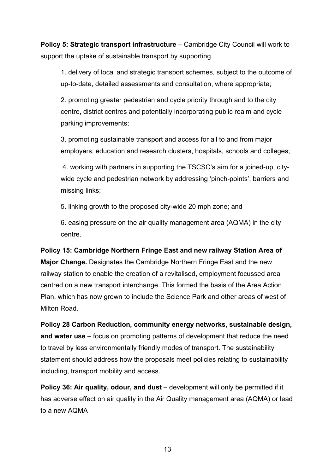**Policy 5: Strategic transport infrastructure** – Cambridge City Council will work to support the uptake of sustainable transport by supporting.

1. delivery of local and strategic transport schemes, subject to the outcome of up-to-date, detailed assessments and consultation, where appropriate;

2. promoting greater pedestrian and cycle priority through and to the city centre, district centres and potentially incorporating public realm and cycle parking improvements;

3. promoting sustainable transport and access for all to and from major employers, education and research clusters, hospitals, schools and colleges;

4. working with partners in supporting the TSCSC's aim for a joined-up, citywide cycle and pedestrian network by addressing 'pinch-points', barriers and missing links;

5. linking growth to the proposed city-wide 20 mph zone; and

6. easing pressure on the air quality management area (AQMA) in the city centre.

**Policy 15: Cambridge Northern Fringe East and new railway Station Area of Major Change.** Designates the Cambridge Northern Fringe East and the new railway station to enable the creation of a revitalised, employment focussed area centred on a new transport interchange. This formed the basis of the Area Action Plan, which has now grown to include the Science Park and other areas of west of Milton Road.

**Policy 28 Carbon Reduction, community energy networks, sustainable design, and water use** – focus on promoting patterns of development that reduce the need to travel by less environmentally friendly modes of transport. The sustainability statement should address how the proposals meet policies relating to sustainability including, transport mobility and access.

**Policy 36: Air quality, odour, and dust** – development will only be permitted if it has adverse effect on air quality in the Air Quality management area (AQMA) or lead to a new AQMA

13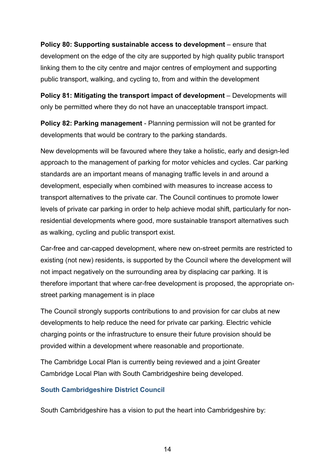**Policy 80: Supporting sustainable access to development** – ensure that development on the edge of the city are supported by high quality public transport linking them to the city centre and major centres of employment and supporting public transport, walking, and cycling to, from and within the development

**Policy 81: Mitigating the transport impact of development** – Developments will only be permitted where they do not have an unacceptable transport impact.

**Policy 82: Parking management** - Planning permission will not be granted for developments that would be contrary to the parking standards.

New developments will be favoured where they take a holistic, early and design-led approach to the management of parking for motor vehicles and cycles. Car parking standards are an important means of managing traffic levels in and around a development, especially when combined with measures to increase access to transport alternatives to the private car. The Council continues to promote lower levels of private car parking in order to help achieve modal shift, particularly for nonresidential developments where good, more sustainable transport alternatives such as walking, cycling and public transport exist.

Car-free and car-capped development, where new on-street permits are restricted to existing (not new) residents, is supported by the Council where the development will not impact negatively on the surrounding area by displacing car parking. It is therefore important that where car-free development is proposed, the appropriate onstreet parking management is in place

The Council strongly supports contributions to and provision for car clubs at new developments to help reduce the need for private car parking. Electric vehicle charging points or the infrastructure to ensure their future provision should be provided within a development where reasonable and proportionate.

The Cambridge Local Plan is currently being reviewed and a joint Greater Cambridge Local Plan with South Cambridgeshire being developed.

#### <span id="page-13-0"></span>**South Cambridgeshire District Council**

South Cambridgeshire has a vision to put the heart into Cambridgeshire by: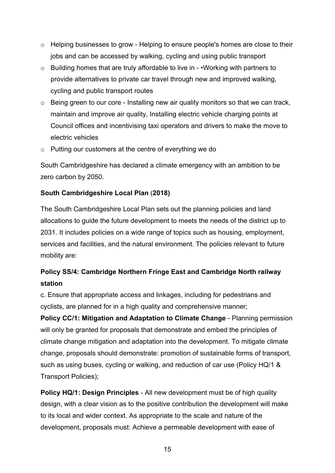- o Helping businesses to grow Helping to ensure people's homes are close to their jobs and can be accessed by walking, cycling and using public transport
- o Building homes that are truly affordable to live in •Working with partners to provide alternatives to private car travel through new and improved walking, cycling and public transport routes
- o Being green to our core Installing new air quality monitors so that we can track, maintain and improve air quality, Installing electric vehicle charging points at Council offices and incentivising taxi operators and drivers to make the move to electric vehicles
- o Putting our customers at the centre of everything we do

South Cambridgeshire has declared a climate emergency with an ambition to be zero carbon by 2050.

#### **South Cambridgeshire Local Plan** (**2018)**

The South Cambridgeshire Local Plan sets out the planning policies and land allocations to guide the future development to meets the needs of the district up to 2031. It includes policies on a wide range of topics such as housing, employment, services and facilities, and the natural environment. The policies relevant to future mobility are:

# **Policy SS/4: Cambridge Northern Fringe East and Cambridge North railway station**

c. Ensure that appropriate access and linkages, including for pedestrians and cyclists, are planned for in a high quality and comprehensive manner;

**Policy CC/1: Mitigation and Adaptation to Climate Change** - Planning permission will only be granted for proposals that demonstrate and embed the principles of climate change mitigation and adaptation into the development. To mitigate climate change, proposals should demonstrate: promotion of sustainable forms of transport, such as using buses, cycling or walking, and reduction of car use (Policy HQ/1 & Transport Policies);

**Policy HQ/1: Design Principles** - All new development must be of high quality design, with a clear vision as to the positive contribution the development will make to its local and wider context. As appropriate to the scale and nature of the development, proposals must: Achieve a permeable development with ease of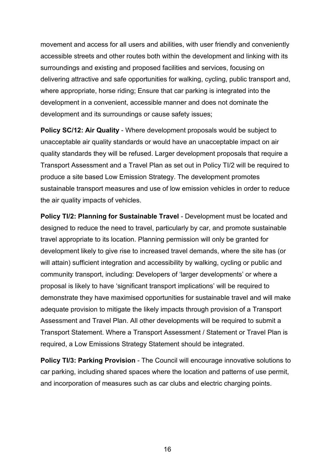movement and access for all users and abilities, with user friendly and conveniently accessible streets and other routes both within the development and linking with its surroundings and existing and proposed facilities and services, focusing on delivering attractive and safe opportunities for walking, cycling, public transport and, where appropriate, horse riding; Ensure that car parking is integrated into the development in a convenient, accessible manner and does not dominate the development and its surroundings or cause safety issues;

**Policy SC/12: Air Quality** - Where development proposals would be subject to unacceptable air quality standards or would have an unacceptable impact on air quality standards they will be refused. Larger development proposals that require a Transport Assessment and a Travel Plan as set out in Policy TI/2 will be required to produce a site based Low Emission Strategy. The development promotes sustainable transport measures and use of low emission vehicles in order to reduce the air quality impacts of vehicles.

**Policy TI/2: Planning for Sustainable Travel** - Development must be located and designed to reduce the need to travel, particularly by car, and promote sustainable travel appropriate to its location. Planning permission will only be granted for development likely to give rise to increased travel demands, where the site has (or will attain) sufficient integration and accessibility by walking, cycling or public and community transport, including: Developers of 'larger developments' or where a proposal is likely to have 'significant transport implications' will be required to demonstrate they have maximised opportunities for sustainable travel and will make adequate provision to mitigate the likely impacts through provision of a Transport Assessment and Travel Plan. All other developments will be required to submit a Transport Statement. Where a Transport Assessment / Statement or Travel Plan is required, a Low Emissions Strategy Statement should be integrated.

**Policy TI/3: Parking Provision** - The Council will encourage innovative solutions to car parking, including shared spaces where the location and patterns of use permit, and incorporation of measures such as car clubs and electric charging points.

16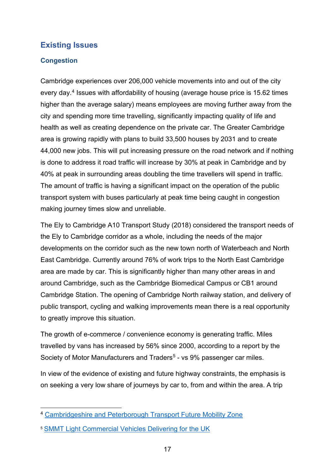# <span id="page-16-0"></span>**Existing Issues**

#### <span id="page-16-1"></span>**Congestion**

Cambridge experiences over 206,000 vehicle movements into and out of the city every day.[4](#page-16-2) Issues with affordability of housing (average house price is 15.62 times higher than the average salary) means employees are moving further away from the city and spending more time travelling, significantly impacting quality of life and health as well as creating dependence on the private car. The Greater Cambridge area is growing rapidly with plans to build 33,500 houses by 2031 and to create 44,000 new jobs. This will put increasing pressure on the road network and if nothing is done to address it road traffic will increase by 30% at peak in Cambridge and by 40% at peak in surrounding areas doubling the time travellers will spend in traffic. The amount of traffic is having a significant impact on the operation of the public transport system with buses particularly at peak time being caught in congestion making journey times slow and unreliable.

The Ely to Cambridge A10 Transport Study (2018) considered the transport needs of the Ely to Cambridge corridor as a whole, including the needs of the major developments on the corridor such as the new town north of Waterbeach and North East Cambridge. Currently around 76% of work trips to the North East Cambridge area are made by car. This is significantly higher than many other areas in and around Cambridge, such as the Cambridge Biomedical Campus or CB1 around Cambridge Station. The opening of Cambridge North railway station, and delivery of public transport, cycling and walking improvements mean there is a real opportunity to greatly improve this situation.

The growth of e-commerce / convenience economy is generating traffic. Miles travelled by vans has increased by 56% since 2000, according to a report by the Society of Motor Manufacturers and Traders<sup>[5](#page-16-3)</sup> - vs 9% passenger car miles.

In view of the evidence of existing and future highway constraints, the emphasis is on seeking a very low share of journeys by car to, from and within the area. A trip

<span id="page-16-2"></span><sup>4</sup> [Cambridgeshire and Peterborough Transport Future Mobility Zone](https://cambridgeshirepeterborough-ca.gov.uk/assets/Transport/Future-Mobility-Zone-for-Greater-Cambridge-Redacted.pdf)

<span id="page-16-3"></span><sup>5</sup> [SMMT Light Commercial Vehicles Delivering for the UK](https://www.smmt.co.uk/wp-content/uploads/sites/2/SMMT-Light-Commercial-Vehicles-Delivering-for-the-UK-economy.pdf)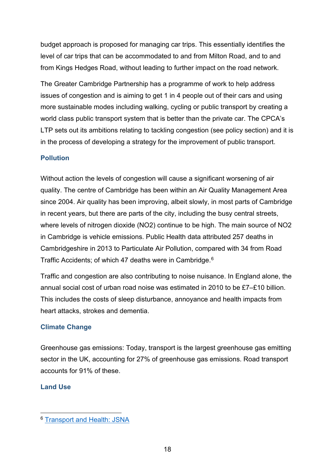budget approach is proposed for managing car trips. This essentially identifies the level of car trips that can be accommodated to and from Milton Road, and to and from Kings Hedges Road, without leading to further impact on the road network.

The Greater Cambridge Partnership has a programme of work to help address issues of congestion and is aiming to get 1 in 4 people out of their cars and using more sustainable modes including walking, cycling or public transport by creating a world class public transport system that is better than the private car. The CPCA's LTP sets out its ambitions relating to tackling congestion (see policy section) and it is in the process of developing a strategy for the improvement of public transport.

#### <span id="page-17-0"></span>**Pollution**

Without action the levels of congestion will cause a significant worsening of air quality. The centre of Cambridge has been within an Air Quality Management Area since 2004. Air quality has been improving, albeit slowly, in most parts of Cambridge in recent years, but there are parts of the city, including the busy central streets, where levels of nitrogen dioxide (NO2) continue to be high. The main source of NO2 in Cambridge is vehicle emissions. Public Health data attributed 257 deaths in Cambridgeshire in 2013 to Particulate Air Pollution, compared with 34 from Road Traffic Accidents; of which 47 deaths were in Cambridge.[6](#page-17-3)

Traffic and congestion are also contributing to noise nuisance. In England alone, the annual social cost of urban road noise was estimated in 2010 to be £7–£10 billion. This includes the costs of sleep disturbance, annoyance and health impacts from heart attacks, strokes and dementia.

#### <span id="page-17-1"></span>**Climate Change**

Greenhouse gas emissions: Today, transport is the largest greenhouse gas emitting sector in the UK, accounting for 27% of greenhouse gas emissions. Road transport accounts for 91% of these.

#### <span id="page-17-2"></span>**Land Use**

<span id="page-17-3"></span><sup>6</sup> [Transport and Health: JSNA](https://cambridgeshireinsight.org.uk/wp-content/uploads/2017/08/Transport-and-Health-JSNA-2015-Air-Pollution.pdf)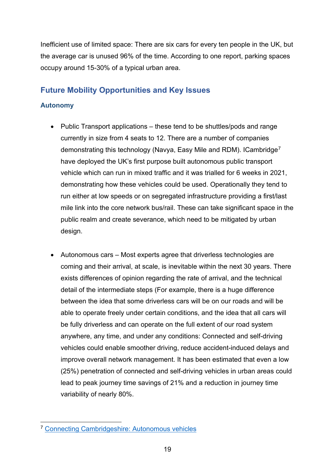Inefficient use of limited space: There are six cars for every ten people in the UK, but the average car is unused 96% of the time. According to one report, parking spaces occupy around 15-30% of a typical urban area.

# <span id="page-18-0"></span>**Future Mobility Opportunities and Key Issues**

#### <span id="page-18-1"></span>**Autonomy**

- Public Transport applications these tend to be shuttles/pods and range currently in size from 4 seats to 12. There are a number of companies demonstrating this technology (Navya, Easy Mile and RDM). ICambridge[7](#page-18-2) have deployed the UK's first purpose built autonomous public transport vehicle which can run in mixed traffic and it was trialled for 6 weeks in 2021, demonstrating how these vehicles could be used. Operationally they tend to run either at low speeds or on segregated infrastructure providing a first/last mile link into the core network bus/rail. These can take significant space in the public realm and create severance, which need to be mitigated by urban design.
- Autonomous cars Most experts agree that driverless technologies are coming and their arrival, at scale, is inevitable within the next 30 years. There exists differences of opinion regarding the rate of arrival, and the technical detail of the intermediate steps (For example, there is a huge difference between the idea that some driverless cars will be on our roads and will be able to operate freely under certain conditions, and the idea that all cars will be fully driverless and can operate on the full extent of our road system anywhere, any time, and under any conditions: Connected and self-driving vehicles could enable smoother driving, reduce accident-induced delays and improve overall network management. It has been estimated that even a low (25%) penetration of connected and self-driving vehicles in urban areas could lead to peak journey time savings of 21% and a reduction in journey time variability of nearly 80%.

<span id="page-18-2"></span><sup>7</sup> [Connecting Cambridgeshire: Autonomous vehicles](https://www.connectingcambridgeshire.co.uk/smart-places/smart-cambridge/autonomous-vehicles/)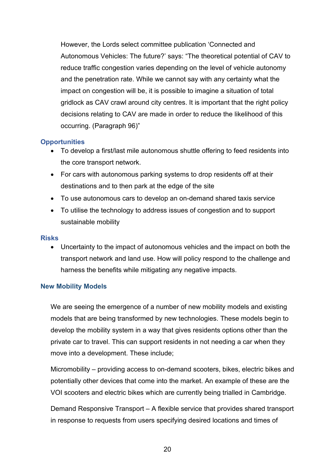However, the Lords select committee publication 'Connected and Autonomous Vehicles: The future?' says: "The theoretical potential of CAV to reduce traffic congestion varies depending on the level of vehicle autonomy and the penetration rate. While we cannot say with any certainty what the impact on congestion will be, it is possible to imagine a situation of total gridlock as CAV crawl around city centres. It is important that the right policy decisions relating to CAV are made in order to reduce the likelihood of this occurring. (Paragraph 96)"

#### **Opportunities**

- To develop a first/last mile autonomous shuttle offering to feed residents into the core transport network.
- For cars with autonomous parking systems to drop residents off at their destinations and to then park at the edge of the site
- To use autonomous cars to develop an on-demand shared taxis service
- To utilise the technology to address issues of congestion and to support sustainable mobility

#### **Risks**

• Uncertainty to the impact of autonomous vehicles and the impact on both the transport network and land use. How will policy respond to the challenge and harness the benefits while mitigating any negative impacts.

#### <span id="page-19-0"></span>**New Mobility Models**

We are seeing the emergence of a number of new mobility models and existing models that are being transformed by new technologies. These models begin to develop the mobility system in a way that gives residents options other than the private car to travel. This can support residents in not needing a car when they move into a development. These include;

Micromobility – providing access to on-demand scooters, bikes, electric bikes and potentially other devices that come into the market. An example of these are the VOI scooters and electric bikes which are currently being trialled in Cambridge.

Demand Responsive Transport – A flexible service that provides shared transport in response to requests from users specifying desired locations and times of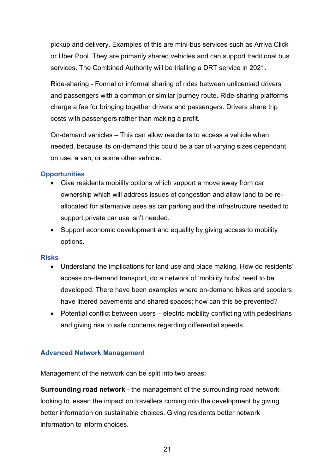pickup and delivery. Examples of this are mini-bus services such as Arriva Click or Uber Pool. They are primarily shared vehicles and can support traditional bus services. The Combined Authority will be trialling a DRT service in 2021.

Ride-sharing - Formal or informal sharing of rides between unlicensed drivers and passengers with a common or similar journey route. Ride-sharing platforms charge a fee for bringing together drivers and passengers. Drivers share trip costs with passengers rather than making a profit.

On-demand vehicles – This can allow residents to access a vehicle when needed, because its on-demand this could be a car of varying sizes dependant on use, a van, or some other vehicle.

#### **Opportunities**

- Give residents mobility options which support a move away from car ownership which will address issues of congestion and allow land to be reallocated for alternative uses as car parking and the infrastructure needed to support private car use isn't needed.
- Support economic development and equality by giving access to mobility options.

#### **Risks**

- Understand the implications for land use and place making. How do residents' access on-demand transport, do a network of 'mobility hubs' need to be developed. There have been examples where on-demand bikes and scooters have littered pavements and shared spaces; how can this be prevented?
- Potential conflict between users electric mobility conflicting with pedestrians and giving rise to safe concerns regarding differential speeds.

#### <span id="page-20-0"></span>**Advanced Network Management**

Management of the network can be split into two areas:

**Surrounding road network** - the management of the surrounding road network, looking to lessen the impact on travellers coming into the development by giving better information on sustainable choices. Giving residents better network information to inform choices.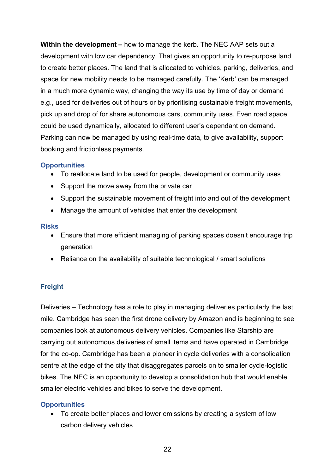**Within the development –** how to manage the kerb. The NEC AAP sets out a development with low car dependency. That gives an opportunity to re-purpose land to create better places. The land that is allocated to vehicles, parking, deliveries, and space for new mobility needs to be managed carefully. The 'Kerb' can be managed in a much more dynamic way, changing the way its use by time of day or demand e.g., used for deliveries out of hours or by prioritising sustainable freight movements, pick up and drop of for share autonomous cars, community uses. Even road space could be used dynamically, allocated to different user's dependant on demand. Parking can now be managed by using real-time data, to give availability, support booking and frictionless payments.

#### **Opportunities**

- To reallocate land to be used for people, development or community uses
- Support the move away from the private car
- Support the sustainable movement of freight into and out of the development
- Manage the amount of vehicles that enter the development

#### **Risks**

- Ensure that more efficient managing of parking spaces doesn't encourage trip generation
- Reliance on the availability of suitable technological / smart solutions

#### <span id="page-21-0"></span>**Freight**

Deliveries – Technology has a role to play in managing deliveries particularly the last mile. Cambridge has seen the first drone delivery by Amazon and is beginning to see companies look at autonomous delivery vehicles. Companies like Starship are carrying out autonomous deliveries of small items and have operated in Cambridge for the co-op. Cambridge has been a pioneer in cycle deliveries with a consolidation centre at the edge of the city that disaggregates parcels on to smaller cycle-logistic bikes. The NEC is an opportunity to develop a consolidation hub that would enable smaller electric vehicles and bikes to serve the development.

#### **Opportunities**

• To create better places and lower emissions by creating a system of low carbon delivery vehicles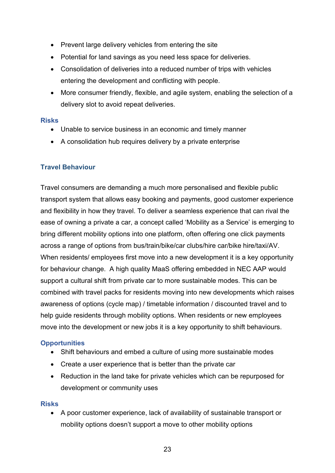- Prevent large delivery vehicles from entering the site
- Potential for land savings as you need less space for deliveries.
- Consolidation of deliveries into a reduced number of trips with vehicles entering the development and conflicting with people.
- More consumer friendly, flexible, and agile system, enabling the selection of a delivery slot to avoid repeat deliveries.

#### **Risks**

- Unable to service business in an economic and timely manner
- A consolidation hub requires delivery by a private enterprise

#### <span id="page-22-0"></span>**Travel Behaviour**

Travel consumers are demanding a much more personalised and flexible public transport system that allows easy booking and payments, good customer experience and flexibility in how they travel. To deliver a seamless experience that can rival the ease of owning a private a car, a concept called 'Mobility as a Service' is emerging to bring different mobility options into one platform, often offering one click payments across a range of options from bus/train/bike/car clubs/hire car/bike hire/taxi/AV. When residents/ employees first move into a new development it is a key opportunity for behaviour change. A high quality MaaS offering embedded in NEC AAP would support a cultural shift from private car to more sustainable modes. This can be combined with travel packs for residents moving into new developments which raises awareness of options (cycle map) / timetable information / discounted travel and to help guide residents through mobility options. When residents or new employees move into the development or new jobs it is a key opportunity to shift behaviours.

#### **Opportunities**

- Shift behaviours and embed a culture of using more sustainable modes
- Create a user experience that is better than the private car
- Reduction in the land take for private vehicles which can be repurposed for development or community uses

#### **Risks**

• A poor customer experience, lack of availability of sustainable transport or mobility options doesn't support a move to other mobility options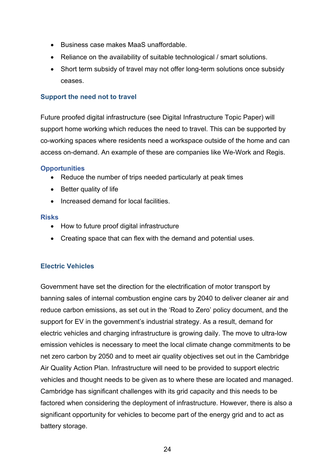- Business case makes MaaS unaffordable.
- Reliance on the availability of suitable technological / smart solutions.
- Short term subsidy of travel may not offer long-term solutions once subsidy ceases.

#### <span id="page-23-0"></span>**Support the need not to travel**

Future proofed digital infrastructure (see Digital Infrastructure Topic Paper) will support home working which reduces the need to travel. This can be supported by co-working spaces where residents need a workspace outside of the home and can access on-demand. An example of these are companies like We-Work and Regis.

#### **Opportunities**

- Reduce the number of trips needed particularly at peak times
- Better quality of life
- Increased demand for local facilities.

#### **Risks**

- How to future proof digital infrastructure
- Creating space that can flex with the demand and potential uses.

#### <span id="page-23-1"></span>**Electric Vehicles**

Government have set the direction for the electrification of motor transport by banning sales of internal combustion engine cars by 2040 to deliver cleaner air and reduce carbon emissions, as set out in the 'Road to Zero' policy document, and the support for EV in the government's industrial strategy. As a result, demand for electric vehicles and charging infrastructure is growing daily. The move to ultra-low emission vehicles is necessary to meet the local climate change commitments to be net zero carbon by 2050 and to meet air quality objectives set out in the Cambridge Air Quality Action Plan. Infrastructure will need to be provided to support electric vehicles and thought needs to be given as to where these are located and managed. Cambridge has significant challenges with its grid capacity and this needs to be factored when considering the deployment of infrastructure. However, there is also a significant opportunity for vehicles to become part of the energy grid and to act as battery storage.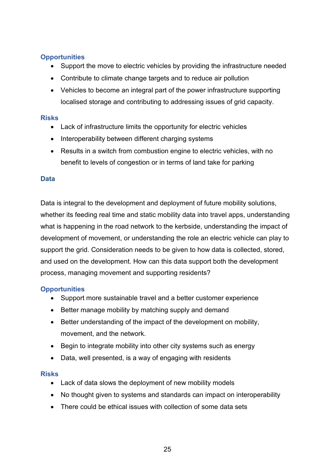#### **Opportunities**

- Support the move to electric vehicles by providing the infrastructure needed
- Contribute to climate change targets and to reduce air pollution
- Vehicles to become an integral part of the power infrastructure supporting localised storage and contributing to addressing issues of grid capacity.

#### **Risks**

- Lack of infrastructure limits the opportunity for electric vehicles
- Interoperability between different charging systems
- Results in a switch from combustion engine to electric vehicles, with no benefit to levels of congestion or in terms of land take for parking

#### <span id="page-24-0"></span>**Data**

Data is integral to the development and deployment of future mobility solutions, whether its feeding real time and static mobility data into travel apps, understanding what is happening in the road network to the kerbside, understanding the impact of development of movement, or understanding the role an electric vehicle can play to support the grid. Consideration needs to be given to how data is collected, stored, and used on the development. How can this data support both the development process, managing movement and supporting residents?

#### **Opportunities**

- Support more sustainable travel and a better customer experience
- Better manage mobility by matching supply and demand
- Better understanding of the impact of the development on mobility, movement, and the network.
- Begin to integrate mobility into other city systems such as energy
- Data, well presented, is a way of engaging with residents

#### **Risks**

- Lack of data slows the deployment of new mobility models
- No thought given to systems and standards can impact on interoperability
- There could be ethical issues with collection of some data sets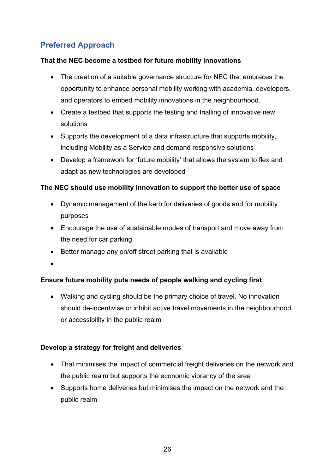# <span id="page-25-0"></span>**Preferred Approach**

#### **That the NEC become a testbed for future mobility innovations**

- The creation of a suitable governance structure for NEC that embraces the opportunity to enhance personal mobility working with academia, developers, and operators to embed mobility innovations in the neighbourhood.
- Create a testbed that supports the testing and trialling of innovative new solutions
- Supports the development of a data infrastructure that supports mobility, including Mobility as a Service and demand responsive solutions
- Develop a framework for 'future mobility' that allows the system to flex and adapt as new technologies are developed

#### **The NEC should use mobility innovation to support the better use of space**

- Dynamic management of the kerb for deliveries of goods and for mobility purposes
- Encourage the use of sustainable modes of transport and move away from the need for car parking
- Better manage any on/off street parking that is available
- •

#### **Ensure future mobility puts needs of people walking and cycling first**

• Walking and cycling should be the primary choice of travel. No innovation should de-incentivise or inhibit active travel movements in the neighbourhood or accessibility in the public realm

#### **Develop a strategy for freight and deliveries**

- That minimises the impact of commercial freight deliveries on the network and the public realm but supports the economic vibrancy of the area
- Supports home deliveries but minimises the impact on the network and the public realm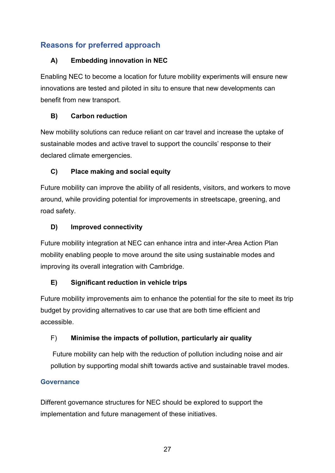# <span id="page-26-0"></span>**Reasons for preferred approach**

#### **A) Embedding innovation in NEC**

Enabling NEC to become a location for future mobility experiments will ensure new innovations are tested and piloted in situ to ensure that new developments can benefit from new transport.

## **B) Carbon reduction**

New mobility solutions can reduce reliant on car travel and increase the uptake of sustainable modes and active travel to support the councils' response to their declared climate emergencies.

# **C) Place making and social equity**

Future mobility can improve the ability of all residents, visitors, and workers to move around, while providing potential for improvements in streetscape, greening, and road safety.

### **D) Improved connectivity**

Future mobility integration at NEC can enhance intra and inter-Area Action Plan mobility enabling people to move around the site using sustainable modes and improving its overall integration with Cambridge.

# **E) Significant reduction in vehicle trips**

Future mobility improvements aim to enhance the potential for the site to meet its trip budget by providing alternatives to car use that are both time efficient and accessible.

# F) **Minimise the impacts of pollution, particularly air quality**

Future mobility can help with the reduction of pollution including noise and air pollution by supporting modal shift towards active and sustainable travel modes.

#### **Governance**

Different governance structures for NEC should be explored to support the implementation and future management of these initiatives.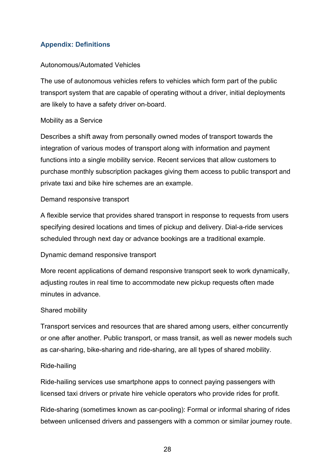#### <span id="page-27-0"></span>**Appendix: Definitions**

#### Autonomous/Automated Vehicles

The use of autonomous vehicles refers to vehicles which form part of the public transport system that are capable of operating without a driver, initial deployments are likely to have a safety driver on-board.

#### Mobility as a Service

Describes a shift away from personally owned modes of transport towards the integration of various modes of transport along with information and payment functions into a single mobility service. Recent services that allow customers to purchase monthly subscription packages giving them access to public transport and private taxi and bike hire schemes are an example.

#### Demand responsive transport

A flexible service that provides shared transport in response to requests from users specifying desired locations and times of pickup and delivery. Dial-a-ride services scheduled through next day or advance bookings are a traditional example.

#### Dynamic demand responsive transport

More recent applications of demand responsive transport seek to work dynamically, adjusting routes in real time to accommodate new pickup requests often made minutes in advance.

#### Shared mobility

Transport services and resources that are shared among users, either concurrently or one after another. Public transport, or mass transit, as well as newer models such as car-sharing, bike-sharing and ride-sharing, are all types of shared mobility.

#### Ride-hailing

Ride-hailing services use smartphone apps to connect paying passengers with licensed taxi drivers or private hire vehicle operators who provide rides for profit.

Ride-sharing (sometimes known as car-pooling): Formal or informal sharing of rides between unlicensed drivers and passengers with a common or similar journey route.